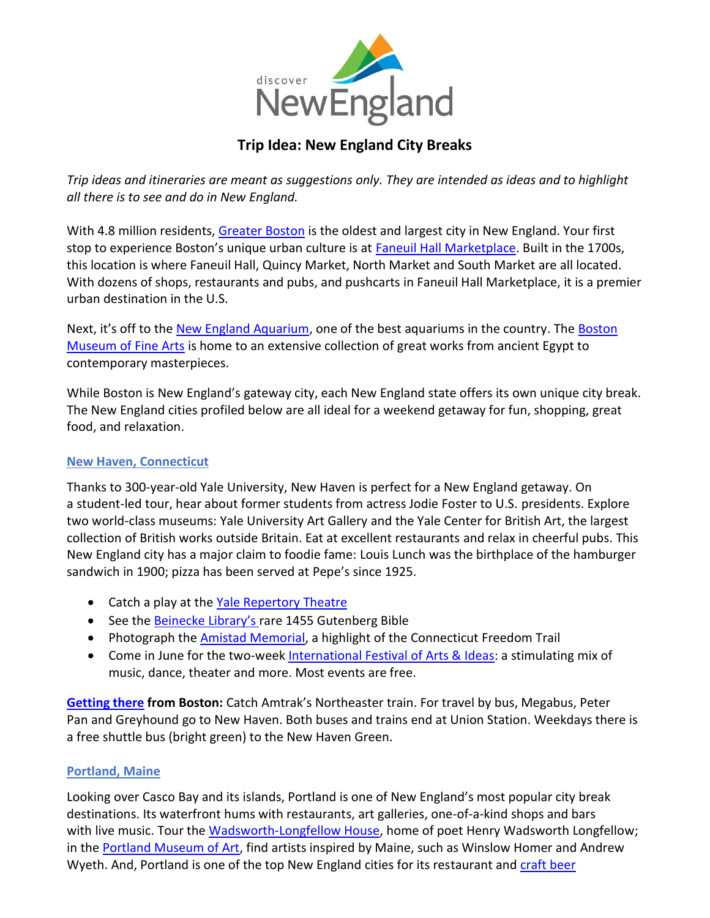

# **Trip Idea: New England City Breaks**

*Trip ideas and itineraries are meant as suggestions only. They are intended as ideas and to highlight all there is to see and do in New England.*

With 4.8 million residents, [Greater Boston](http://www.bostonusa.com/) is the oldest and largest city in New England. Your first stop to experience Boston's unique urban culture is at [Faneuil Hall Marketplace.](https://faneuilhallmarketplace.com/) Built in the 1700s, this location is where Faneuil Hall, Quincy Market, North Market and South Market are all located. With dozens of shops, restaurants and pubs, and pushcarts in Faneuil Hall Marketplace, it is a premier urban destination in the U.S.

Next, it's off to the [New England Aquarium,](https://www.neaq.org/) one of the best aquariums in the country. The Boston [Museum of Fine Arts](https://www.mfa.org/) is home to an extensive collection of great works from ancient Egypt to contemporary masterpieces.

While Boston is New England's gateway city, each New England state offers its own unique city break. The New England cities profiled below are all ideal for a weekend getaway for fun, shopping, great food, and relaxation.

#### **[New Haven, Connecticut](http://www.ctvisit.com/new_haven)**

Thanks to 300-year-old Yale University, New Haven is perfect for a New England getaway. On a student-led tour, hear about former students from actress Jodie Foster to U.S. presidents. Explore two world-class museums: Yale University Art Gallery and the Yale Center for British Art, the largest collection of British works outside Britain. Eat at excellent restaurants and relax in cheerful pubs. This New England city has a major claim to foodie fame: Louis Lunch was the birthplace of the hamburger sandwich in 1900; pizza has been served at Pepe's since 1925.

- Catch a play at the [Yale Repertory](https://www.ctvisit.com/listings/yale-repertory-theatre) Theatre
- See the [Beinecke](https://www.ctvisit.com/listings/beinecke-rare-book-manuscript-library) Library's rare 1455 Gutenberg Bible
- Photograph th[e Amistad Memorial,](https://www.ctvisit.com/listings/amistad-memorial) a highlight of the Connecticut Freedom Trail
- Come in June for the two-week [International Festival](https://www.ctvisit.com/listings/international-festival-arts-ideas) of Arts & Ideas: a stimulating mix of music, dance, theater and more. Most events are free.

**[Getting there](https://www.visitnewhaven.com/visitor-info/transportation) from Boston:** Catch Amtrak's Northeaster train. For travel by bus, Megabus, Peter Pan and Greyhound go to New Haven. Both buses and trains end at Union Station. Weekdays there is a free shuttle bus (bright green) to the New Haven Green.

#### **[Portland, Maine](https://visitmaine.com/places-to-go/greater-portland-and-casco-bay/)**

Looking over Casco Bay and its islands, Portland is one of New England's most popular city break destinations. Its waterfront hums with restaurants, art galleries, one-of-a-kind shops and bars with live music. Tour the [Wadsworth-Longfellow House,](https://visitmaine.com/organization/maine-historical-society/5cab7dd7-832a-4850-aab1-5978f0d0c5be) home of poet Henry Wadsworth Longfellow; in the [Portland Museum of Art,](https://visitmaine.com/things-to-do/arts-culture/portland-museum-art) find artists inspired by Maine, such as Winslow Homer and Andrew Wyeth. And, Portland is one of the top New England cities for its restaurant and [craft beer](https://visitmaine.com/things-to-do/dining-nightlife/craft-beer-in-maine)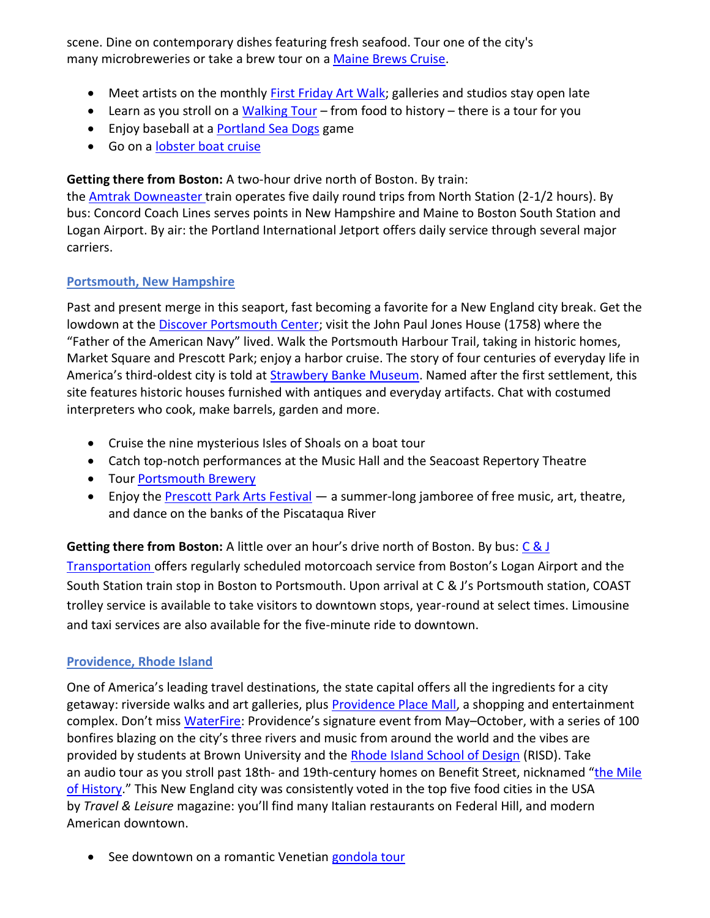scene. Dine on contemporary dishes featuring fresh seafood. Tour one of the city's many microbreweries or take a brew tour on a [Maine Brews Cruise.](https://www.themainebrewbus.com/)

- Meet artists on the monthly [First Friday Art Walk;](https://www.creativeportland.com/arts/walk?utm_source=visitportland&utm_medium=directoryprofile&utm_campaign=visitportland) galleries and studios stay open late
- Learn as you stroll on [a Walking Tour](https://visitmaine.com/things-to-do/lighthouses-sightseeing/walking-tours) from food to history there is a tour for you
- Enjoy baseball at a **Portland Sea Dogs game**
- Go on a [lobster boat cruise](https://www.luckycatch.com/)

**Getting there from Boston:** A two-hour drive north of Boston. By train:

the **Amtrak [Downeaster](https://amtrakdowneaster.com/) train operates five daily round trips from North Station (2-1/2 hours). By** bus: Concord Coach Lines serves points in New Hampshire and Maine to Boston South Station and Logan Airport. By air: the Portland International Jetport offers daily service through several major carriers.

## **[Portsmouth, New Hampshire](https://www.goportsmouthnh.com/)**

Past and present merge in this seaport, fast becoming a favorite for a New England city break. Get the lowdown at the [Discover Portsmouth Center;](https://www.visitnh.gov/attraction/9079/discover-portsmouth-center?ref=13084) visit the John Paul Jones House (1758) where the "Father of the American Navy" lived. Walk the Portsmouth Harbour Trail, taking in historic homes, Market Square and Prescott Park; enjoy a harbor cruise. The story of four centuries of everyday life in America's third-oldest city is told at [Strawbery](https://www.visitnh.gov/attraction/9531/strawbery-banke-museum?ref=13084) Banke Museum. Named after the first settlement, this site features historic houses furnished with antiques and everyday artifacts. Chat with costumed interpreters who cook, make barrels, garden and more.

- Cruise the nine mysterious Isles of Shoals on a boat tour
- Catch top-notch performances at the Music Hall and the Seacoast Repertory Theatre
- Tour [Portsmouth](https://www.visitnh.gov/attraction/9063/portsmouth-brewery) Brewery
- Enjoy the [Prescott Park Arts Festival](https://www.visitnh.gov/attraction/9186/prescott-park-arts-festival) a summer-long jamboree of free music, art, theatre, and dance on the banks of the Piscataqua River

**Getting there from Boston:** A little over an hour's drive north of Boston. By bus: C & J [Transportation](https://www.ridecj.com/) offers regularly scheduled motorcoach service from Boston's Logan Airport and the South Station train stop in Boston to Portsmouth. Upon arrival at C & J's Portsmouth station, COAST trolley service is available to take visitors to downtown stops, year-round at select times. Limousine and taxi services are also available for the five-minute ride to downtown.

## **[Providence, Rhode Island](https://www.visitrhodeisland.com/plan/regions/providence/)**

One of America's leading travel destinations, the state capital offers all the ingredients for a city getaway: riverside walks and art galleries, plus [Providence Place Mall,](https://www.visitrhodeisland.com/listing/providence-place-mall/9411/) a shopping and entertainment complex. Don't miss [WaterFire](https://www.visitrhodeisland.com/events/waterfire/): Providence's signature event from May–October, with a series of 100 bonfires blazing on the city's three rivers and music from around the world and the vibes are provided by students at Brown University and the [Rhode Island School of Design](https://www.visitrhodeisland.com/listing/rhode-island-school-of-design/8496/) (RISD). Take an audio tour as you stroll past 18th- and 19th-century homes on Benefit Street, nicknamed "the Mile [of History](https://www.visitrhodeisland.com/listing/benefit-streets-mile-of-history/8262/)." This New England city was consistently voted in the top five food cities in the USA by *Travel & Leisure* magazine: you'll find many Italian restaurants on Federal Hill, and modern American downtown.

• See downtown on a romantic Venetian [gondola tour](https://www.visitrhodeisland.com/listing/la-gondola/8855/)